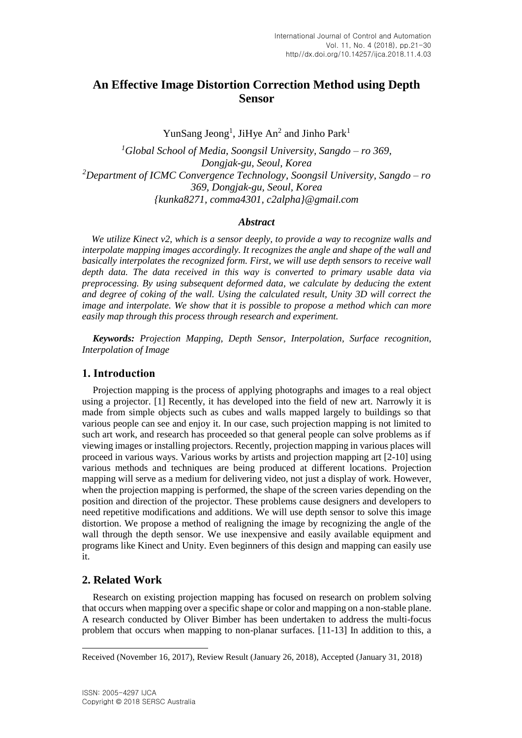# **An Effective Image Distortion Correction Method using Depth Sensor**

YunSang Jeong<sup>1</sup>, JiHye An<sup>2</sup> and Jinho Park<sup>1</sup>

*<sup>1</sup>Global School of Media, Soongsil University, Sangdo – ro 369, Dongjak-gu, Seoul, Korea <sup>2</sup>Department of ICMC Convergence Technology, Soongsil University, Sangdo – ro 369, Dongjak-gu, Seoul, Korea {kunka8271, comma4301, c2alpha}@gmail.com*

#### *Abstract*

*We utilize Kinect v2, which is a sensor deeply, to provide a way to recognize walls and interpolate mapping images accordingly. It recognizes the angle and shape of the wall and basically interpolates the recognized form. First, we will use depth sensors to receive wall depth data. The data received in this way is converted to primary usable data via preprocessing. By using subsequent deformed data, we calculate by deducing the extent and degree of coking of the wall. Using the calculated result, Unity 3D will correct the image and interpolate. We show that it is possible to propose a method which can more easily map through this process through research and experiment.*

*Keywords: Projection Mapping, Depth Sensor, Interpolation, Surface recognition, Interpolation of Image*

## **1. Introduction**

Projection mapping is the process of applying photographs and images to a real object using a projector. [1] Recently, it has developed into the field of new art. Narrowly it is made from simple objects such as cubes and walls mapped largely to buildings so that various people can see and enjoy it. In our case, such projection mapping is not limited to such art work, and research has proceeded so that general people can solve problems as if viewing images or installing projectors. Recently, projection mapping in various places will proceed in various ways. Various works by artists and projection mapping art [2-10] using various methods and techniques are being produced at different locations. Projection mapping will serve as a medium for delivering video, not just a display of work. However, when the projection mapping is performed, the shape of the screen varies depending on the position and direction of the projector. These problems cause designers and developers to need repetitive modifications and additions. We will use depth sensor to solve this image distortion. We propose a method of realigning the image by recognizing the angle of the wall through the depth sensor. We use inexpensive and easily available equipment and programs like Kinect and Unity. Even beginners of this design and mapping can easily use it.

## **2. Related Work**

l

Research on existing projection mapping has focused on research on problem solving that occurs when mapping over a specific shape or color and mapping on a non-stable plane. A research conducted by Oliver Bimber has been undertaken to address the multi-focus problem that occurs when mapping to non-planar surfaces. [11-13] In addition to this, a

Received (November 16, 2017), Review Result (January 26, 2018), Accepted (January 31, 2018)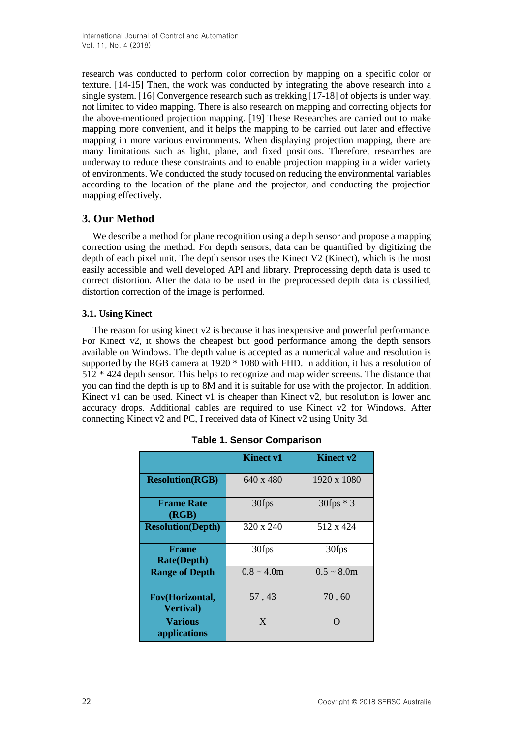research was conducted to perform color correction by mapping on a specific color or texture. [14-15] Then, the work was conducted by integrating the above research into a single system. [16] Convergence research such as trekking [17-18] of objects is under way, not limited to video mapping. There is also research on mapping and correcting objects for the above-mentioned projection mapping. [19] These Researches are carried out to make mapping more convenient, and it helps the mapping to be carried out later and effective mapping in more various environments. When displaying projection mapping, there are many limitations such as light, plane, and fixed positions. Therefore, researches are underway to reduce these constraints and to enable projection mapping in a wider variety of environments. We conducted the study focused on reducing the environmental variables according to the location of the plane and the projector, and conducting the projection mapping effectively.

# **3. Our Method**

We describe a method for plane recognition using a depth sensor and propose a mapping correction using the method. For depth sensors, data can be quantified by digitizing the depth of each pixel unit. The depth sensor uses the Kinect V2 (Kinect), which is the most easily accessible and well developed API and library. Preprocessing depth data is used to correct distortion. After the data to be used in the preprocessed depth data is classified, distortion correction of the image is performed.

### **3.1. Using Kinect**

The reason for using kinect v2 is because it has inexpensive and powerful performance. For Kinect v2, it shows the cheapest but good performance among the depth sensors available on Windows. The depth value is accepted as a numerical value and resolution is supported by the RGB camera at 1920 \* 1080 with FHD. In addition, it has a resolution of 512 \* 424 depth sensor. This helps to recognize and map wider screens. The distance that you can find the depth is up to 8M and it is suitable for use with the projector. In addition, Kinect v1 can be used. Kinect v1 is cheaper than Kinect v2, but resolution is lower and accuracy drops. Additional cables are required to use Kinect v2 for Windows. After connecting Kinect v2 and PC, I received data of Kinect v2 using Unity 3d.

|                                      | <b>Kinect v1</b> | <b>Kinect v2</b> |
|--------------------------------------|------------------|------------------|
| <b>Resolution(RGB)</b>               | 640 x 480        | 1920 x 1080      |
| <b>Frame Rate</b><br>(RGB)           | 30fps            | $30$ fps $*$ 3   |
| <b>Resolution(Depth)</b>             | 320 x 240        | 512 x 424        |
| <b>Frame</b><br><b>Rate(Depth)</b>   | 30fps            | 30fps            |
| <b>Range of Depth</b>                | $0.8 \sim 4.0$ m | $0.5 \sim 8.0$ m |
| Fov(Horizontal,<br><b>Vertival</b> ) | 57,43            | 70, 60           |
| <b>Various</b><br>applications       | X                | ∩                |

|  | <b>Table 1. Sensor Comparison</b> |  |
|--|-----------------------------------|--|
|--|-----------------------------------|--|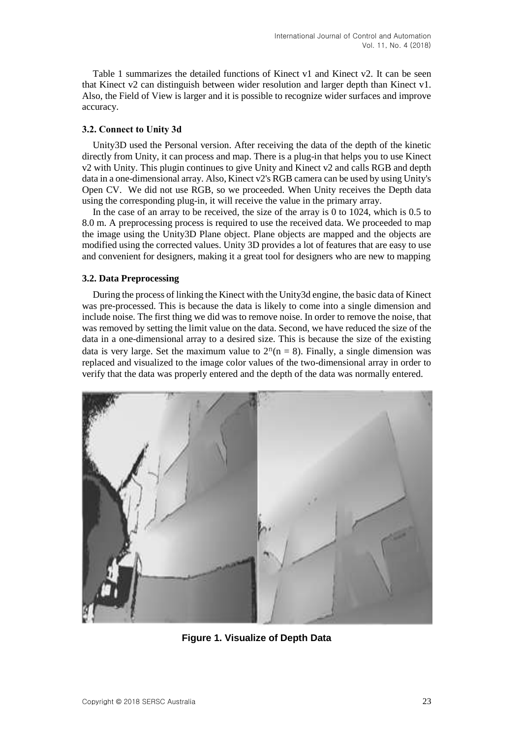Table 1 summarizes the detailed functions of Kinect v1 and Kinect v2. It can be seen that Kinect v2 can distinguish between wider resolution and larger depth than Kinect v1. Also, the Field of View is larger and it is possible to recognize wider surfaces and improve accuracy.

#### **3.2. Connect to Unity 3d**

Unity3D used the Personal version. After receiving the data of the depth of the kinetic directly from Unity, it can process and map. There is a plug-in that helps you to use Kinect v2 with Unity. This plugin continues to give Unity and Kinect v2 and calls RGB and depth data in a one-dimensional array. Also, Kinect v2's RGB camera can be used by using Unity's Open CV. We did not use RGB, so we proceeded. When Unity receives the Depth data using the corresponding plug-in, it will receive the value in the primary array.

In the case of an array to be received, the size of the array is 0 to 1024, which is 0.5 to 8.0 m. A preprocessing process is required to use the received data. We proceeded to map the image using the Unity3D Plane object. Plane objects are mapped and the objects are modified using the corrected values. Unity 3D provides a lot of features that are easy to use and convenient for designers, making it a great tool for designers who are new to mapping

#### **3.2. Data Preprocessing**

During the process of linking the Kinect with the Unity3d engine, the basic data of Kinect was pre-processed. This is because the data is likely to come into a single dimension and include noise. The first thing we did was to remove noise. In order to remove the noise, that was removed by setting the limit value on the data. Second, we have reduced the size of the data in a one-dimensional array to a desired size. This is because the size of the existing data is very large. Set the maximum value to  $2^n(n = 8)$ . Finally, a single dimension was replaced and visualized to the image color values of the two-dimensional array in order to verify that the data was properly entered and the depth of the data was normally entered.



**Figure 1. Visualize of Depth Data**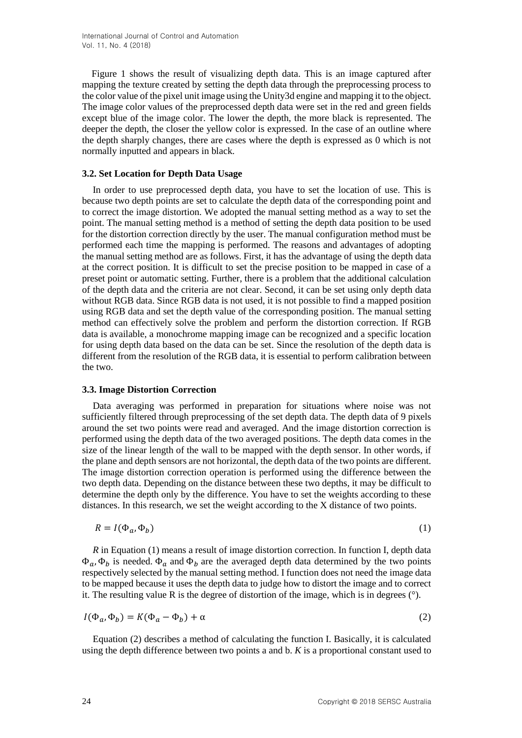Figure 1 shows the result of visualizing depth data. This is an image captured after mapping the texture created by setting the depth data through the preprocessing process to the color value of the pixel unit image using the Unity3d engine and mapping it to the object. The image color values of the preprocessed depth data were set in the red and green fields except blue of the image color. The lower the depth, the more black is represented. The deeper the depth, the closer the yellow color is expressed. In the case of an outline where the depth sharply changes, there are cases where the depth is expressed as 0 which is not normally inputted and appears in black.

#### **3.2. Set Location for Depth Data Usage**

In order to use preprocessed depth data, you have to set the location of use. This is because two depth points are set to calculate the depth data of the corresponding point and to correct the image distortion. We adopted the manual setting method as a way to set the point. The manual setting method is a method of setting the depth data position to be used for the distortion correction directly by the user. The manual configuration method must be performed each time the mapping is performed. The reasons and advantages of adopting the manual setting method are as follows. First, it has the advantage of using the depth data at the correct position. It is difficult to set the precise position to be mapped in case of a preset point or automatic setting. Further, there is a problem that the additional calculation of the depth data and the criteria are not clear. Second, it can be set using only depth data without RGB data. Since RGB data is not used, it is not possible to find a mapped position using RGB data and set the depth value of the corresponding position. The manual setting method can effectively solve the problem and perform the distortion correction. If RGB data is available, a monochrome mapping image can be recognized and a specific location for using depth data based on the data can be set. Since the resolution of the depth data is different from the resolution of the RGB data, it is essential to perform calibration between the two.

#### **3.3. Image Distortion Correction**

Data averaging was performed in preparation for situations where noise was not sufficiently filtered through preprocessing of the set depth data. The depth data of 9 pixels around the set two points were read and averaged. And the image distortion correction is performed using the depth data of the two averaged positions. The depth data comes in the size of the linear length of the wall to be mapped with the depth sensor. In other words, if the plane and depth sensors are not horizontal, the depth data of the two points are different. The image distortion correction operation is performed using the difference between the two depth data. Depending on the distance between these two depths, it may be difficult to determine the depth only by the difference. You have to set the weights according to these distances. In this research, we set the weight according to the X distance of two points.

$$
R = I(\Phi_a, \Phi_b) \tag{1}
$$

*R* in Equation (1) means a result of image distortion correction. In function I, depth data  $\Phi_{a}$ ,  $\Phi_{b}$  is needed.  $\Phi_{a}$  and  $\Phi_{b}$  are the averaged depth data determined by the two points respectively selected by the manual setting method. I function does not need the image data to be mapped because it uses the depth data to judge how to distort the image and to correct it. The resulting value R is the degree of distortion of the image, which is in degrees  $(°)$ .

$$
I(\Phi_a, \Phi_b) = K(\Phi_a - \Phi_b) + \alpha \tag{2}
$$

Equation (2) describes a method of calculating the function I. Basically, it is calculated using the depth difference between two points a and b. *K* is a proportional constant used to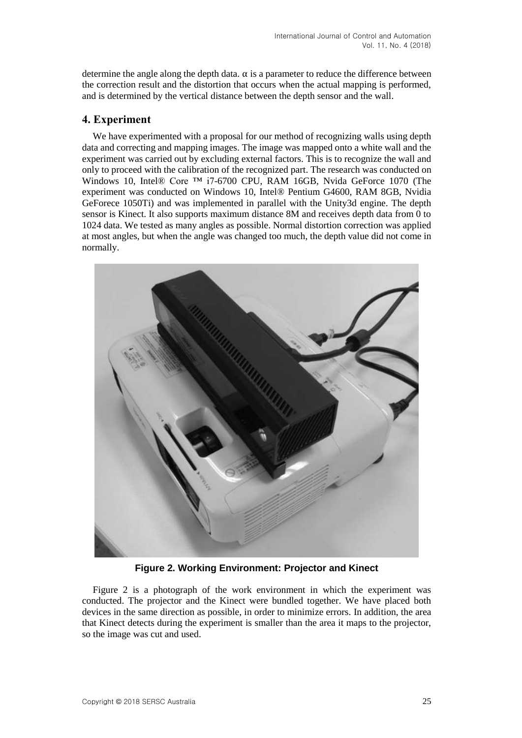determine the angle along the depth data.  $\alpha$  is a parameter to reduce the difference between the correction result and the distortion that occurs when the actual mapping is performed, and is determined by the vertical distance between the depth sensor and the wall.

## **4. Experiment**

We have experimented with a proposal for our method of recognizing walls using depth data and correcting and mapping images. The image was mapped onto a white wall and the experiment was carried out by excluding external factors. This is to recognize the wall and only to proceed with the calibration of the recognized part. The research was conducted on Windows 10, Intel® Core ™ i7-6700 CPU, RAM 16GB, Nvida GeForce 1070 (The experiment was conducted on Windows 10, Intel® Pentium G4600, RAM 8GB, Nvidia GeForece 1050Ti) and was implemented in parallel with the Unity3d engine. The depth sensor is Kinect. It also supports maximum distance 8M and receives depth data from 0 to 1024 data. We tested as many angles as possible. Normal distortion correction was applied at most angles, but when the angle was changed too much, the depth value did not come in normally.



**Figure 2. Working Environment: Projector and Kinect**

Figure 2 is a photograph of the work environment in which the experiment was conducted. The projector and the Kinect were bundled together. We have placed both devices in the same direction as possible, in order to minimize errors. In addition, the area that Kinect detects during the experiment is smaller than the area it maps to the projector, so the image was cut and used.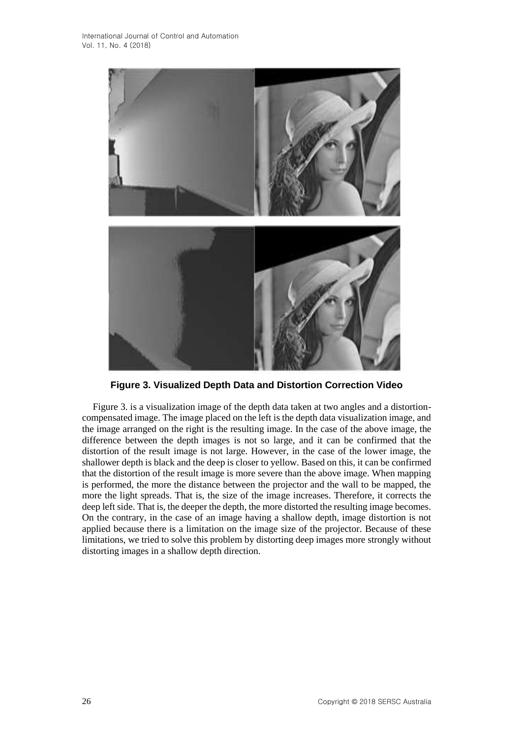

**Figure 3. Visualized Depth Data and Distortion Correction Video**

Figure 3. is a visualization image of the depth data taken at two angles and a distortioncompensated image. The image placed on the left is the depth data visualization image, and the image arranged on the right is the resulting image. In the case of the above image, the difference between the depth images is not so large, and it can be confirmed that the distortion of the result image is not large. However, in the case of the lower image, the shallower depth is black and the deep is closer to yellow. Based on this, it can be confirmed that the distortion of the result image is more severe than the above image. When mapping is performed, the more the distance between the projector and the wall to be mapped, the more the light spreads. That is, the size of the image increases. Therefore, it corrects the deep left side. That is, the deeper the depth, the more distorted the resulting image becomes. On the contrary, in the case of an image having a shallow depth, image distortion is not applied because there is a limitation on the image size of the projector. Because of these limitations, we tried to solve this problem by distorting deep images more strongly without distorting images in a shallow depth direction.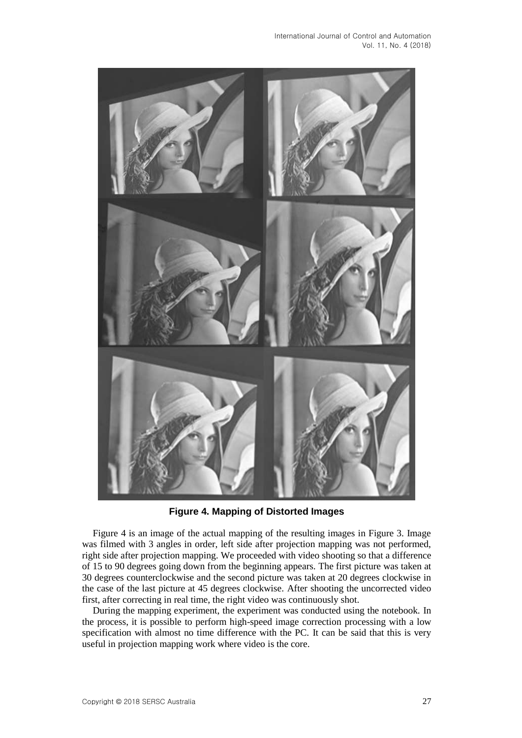

**Figure 4. Mapping of Distorted Images**

Figure 4 is an image of the actual mapping of the resulting images in Figure 3. Image was filmed with 3 angles in order, left side after projection mapping was not performed, right side after projection mapping. We proceeded with video shooting so that a difference of 15 to 90 degrees going down from the beginning appears. The first picture was taken at 30 degrees counterclockwise and the second picture was taken at 20 degrees clockwise in the case of the last picture at 45 degrees clockwise. After shooting the uncorrected video first, after correcting in real time, the right video was continuously shot.

During the mapping experiment, the experiment was conducted using the notebook. In the process, it is possible to perform high-speed image correction processing with a low specification with almost no time difference with the PC. It can be said that this is very useful in projection mapping work where video is the core.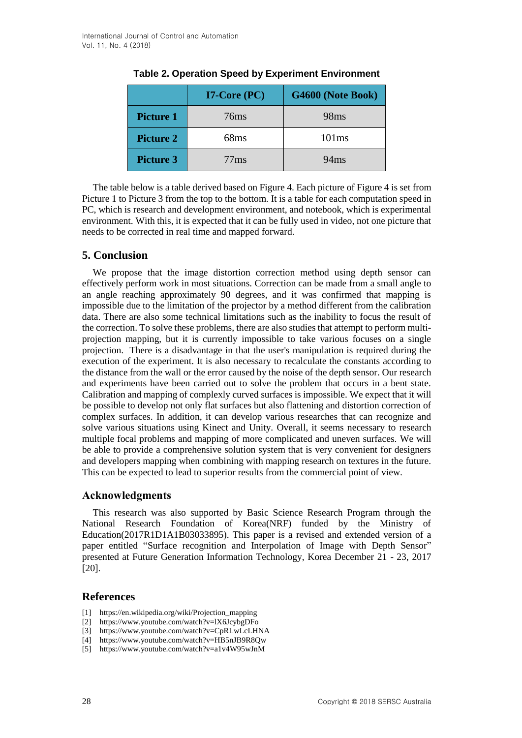|                  | $I7$ -Core (PC) | G4600 (Note Book) |
|------------------|-----------------|-------------------|
| <b>Picture 1</b> | 76ms            | 98 <sub>ms</sub>  |
| <b>Picture 2</b> | 68ms            | 101ms             |
| <b>Picture 3</b> | 77ms            | 94ms              |

#### **Table 2. Operation Speed by Experiment Environment**

The table below is a table derived based on Figure 4. Each picture of Figure 4 is set from Picture 1 to Picture 3 from the top to the bottom. It is a table for each computation speed in PC, which is research and development environment, and notebook, which is experimental environment. With this, it is expected that it can be fully used in video, not one picture that needs to be corrected in real time and mapped forward.

### **5. Conclusion**

We propose that the image distortion correction method using depth sensor can effectively perform work in most situations. Correction can be made from a small angle to an angle reaching approximately 90 degrees, and it was confirmed that mapping is impossible due to the limitation of the projector by a method different from the calibration data. There are also some technical limitations such as the inability to focus the result of the correction. To solve these problems, there are also studies that attempt to perform multiprojection mapping, but it is currently impossible to take various focuses on a single projection. There is a disadvantage in that the user's manipulation is required during the execution of the experiment. It is also necessary to recalculate the constants according to the distance from the wall or the error caused by the noise of the depth sensor. Our research and experiments have been carried out to solve the problem that occurs in a bent state. Calibration and mapping of complexly curved surfaces is impossible. We expect that it will be possible to develop not only flat surfaces but also flattening and distortion correction of complex surfaces. In addition, it can develop various researches that can recognize and solve various situations using Kinect and Unity. Overall, it seems necessary to research multiple focal problems and mapping of more complicated and uneven surfaces. We will be able to provide a comprehensive solution system that is very convenient for designers and developers mapping when combining with mapping research on textures in the future. This can be expected to lead to superior results from the commercial point of view.

### **Acknowledgments**

This research was also supported by Basic Science Research Program through the National Research Foundation of Korea(NRF) funded by the Ministry of Education(2017R1D1A1B03033895). This paper is a revised and extended version of a paper entitled "Surface recognition and Interpolation of Image with Depth Sensor" presented at Future Generation Information Technology, Korea December 21 - 23, 2017 [20].

### **References**

- [1] https://en.wikipedia.org/wiki/Projection\_mapping
- [2] https://www.youtube.com/watch?v=lX6JcybgDFo
- [3] https://www.youtube.com/watch?v=CpRLwLcLHNA
- [4] https://www.youtube.com/watch?v=HB5nJB9R8Qw
- [5] https://www.youtube.com/watch?v=a1v4W95wJnM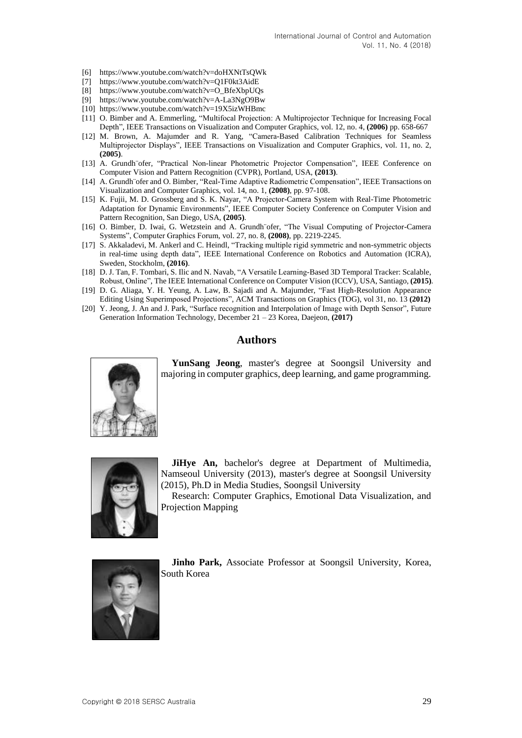- [6] https://www.youtube.com/watch?v=doHXNtTsQWk
- [7] https://www.youtube.com/watch?v=Q1F0kt3AidE
- [8] https://www.youtube.com/watch?v=O\_BfeXbpUQs
- [9] https://www.youtube.com/watch?v=A-La3NgO9Bw
- [10] https://www.youtube.com/watch?v=19X5izWHBmc
- [11] O. Bimber and A. Emmerling, "Multifocal Projection: A Multiprojector Technique for Increasing Focal Depth", IEEE Transactions on Visualization and Computer Graphics, vol. 12, no. 4, **(2006)** pp. 658-667
- [12] M. Brown, A. Majumder and R. Yang, "Camera-Based Calibration Techniques for Seamless Multiprojector Displays", IEEE Transactions on Visualization and Computer Graphics, vol. 11, no. 2, **(2005)**.
- [13] A. Grundh¨ofer, "Practical Non-linear Photometric Projector Compensation", IEEE Conference on Computer Vision and Pattern Recognition (CVPR), Portland, USA, **(2013)**.
- [14] A. Grundh ofer and O. Bimber, "Real-Time Adaptive Radiometric Compensation", IEEE Transactions on Visualization and Computer Graphics, vol. 14, no. 1, **(2008)**, pp. 97-108.
- [15] K. Fujii, M. D. Grossberg and S. K. Nayar, "A Projector-Camera System with Real-Time Photometric Adaptation for Dynamic Environments", IEEE Computer Society Conference on Computer Vision and Pattern Recognition, San Diego, USA, **(2005)**.
- [16] O. Bimber, D. Iwai, G. Wetzstein and A. Grundh¨ofer, "The Visual Computing of Projector-Camera Systems", Computer Graphics Forum, vol. 27, no. 8, **(2008)**, pp. 2219-2245.
- [17] S. Akkaladevi, M. Ankerl and C. Heindl, "Tracking multiple rigid symmetric and non-symmetric objects in real-time using depth data", IEEE International Conference on Robotics and Automation (ICRA), Sweden, Stockholm, **(2016)**.
- [18] D. J. Tan, F. Tombari, S. Ilic and N. Navab, "A Versatile Learning-Based 3D Temporal Tracker: Scalable, Robust, Online", The IEEE International Conference on Computer Vision (ICCV), USA, Santiago, **(2015)**.
- [19] D. G. Aliaga, Y. H. Yeung, A. Law, B. Sajadi and A. Majumder, "Fast High-Resolution Appearance Editing Using Superimposed Projections", ACM Transactions on Graphics (TOG), vol 31, no. 13 **(2012)**
- [20] Y. Jeong, J. An and J. Park, "Surface recognition and Interpolation of Image with Depth Sensor", Future Generation Information Technology, December 21 – 23 Korea, Daejeon, **(2017)**

#### **Authors**



**YunSang Jeong**, master's degree at Soongsil University and majoring in computer graphics, deep learning, and game programming.



**JiHye An,** bachelor's degree at Department of Multimedia, Namseoul University (2013), master's degree at Soongsil University (2015), Ph.D in Media Studies, Soongsil University

Research: Computer Graphics, Emotional Data Visualization, and Projection Mapping



**Jinho Park,** Associate Professor at Soongsil University, Korea, South Korea